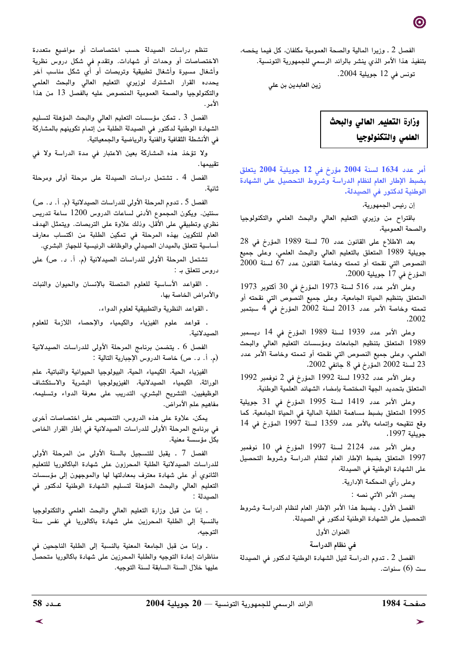الفصل 2 ـ وزيرا المالية والصحة العمومية مكلفان، كل فيما يخصه، بتنفيذ هذا الأمر الذى ينشر بالرائد الرسمي للجمهورية التونسية.

تونس في 12 جويلية 2004.

زين العابدين بن علي



أمر عدد 1634 لسنة 2004 مؤرخ في 12 جويلية 2004 يتعلق بضبط الإطار العام لنظام الدراسة وشروط التحصيل على الشهادة الوطنية لدكتور في الصيدلة.

إن رئيس الجمهورية،

باقتراح من وزيري التعليم العالي والبحث العلمي والتكنولوجيا والصحة العمومية،

بعد الاطلاع على القانون عدد 70 لسنة 1989 المؤرخ في 28 جويلية 1989 المتعلق بالتعليم العالى والبحث العلمى، وعلى جميع النصوص التي نقحته أو تممته وخاصة القانون عدد 67 لسنة 2000 المؤرخ في 17 جويلية 2000،

وعلى الأمر عدد 516 لسنة 1973 المؤرخ في 30 أكتوبر 1973 المتعلق بتنظيم الحياة الجامعية، وعلى جميع النصوص التي نقحته أو تممته وخاصة الأمر عدد 2013 لسنة 2002 المؤرخ في 4 سبتمبر ,2002

وعلى الأمر عدد 1939 لسنة 1989 المؤرخ في 14 ديسمبر 1989 المتعلق بتنظيم الجامعات ومؤسسات التعليم العالي والبحث العلمي، وعلى جميع النصوص التي نقحته أو تممته وخاصة الأمر عدد 23 لسنة 2002 المؤرخ في 8 جانفي 2002،

وعلى الأمر عدد 1932 لسنة 1992 المؤرخ في 2 نوفمبر 1992 المتعلق بتحديد الجهة المختصة بإمضاء الشهائد العلمية الوطنية،

وعلى الأمر عدد 1419 لسنة 1995 المؤرخ في 31 جويلية 1995 المتعلق بضبط مساهمة الطلبة المالية في الحياة الجامعية، كما وقع تنقيحه وإتمامه بالأمر عدد 1359 لسنة 1997 المؤرخ في 14 حويلية 1997،

وعلى الأمر عدد 2124 لسنة 1997 المؤرخ في 10 نوفمبر 1997 المتعلق بضبط الإطار العام لنظام الدراسة وشروط التحصيل على الشهادة الوطنية في الصيدلة،

وعلى رأي المحكمة الإدارية.

يصدر الأمر الآتي نصه :

الفصل الأول ـ يضبط هذا الأمر الإطار العام لنظام الدراسة وشروط التحصيل على الشهادة الوطنية لدكتور في الصيدلة.

العنوان الأول

#### في نظام الدراسة

الفصل 2 ـ تدوم الدراسة لنيل الشهادة الوطنية لدكتور في الصيدلة ست (6) سنوات.

تنظم دراسات الصيدلة حسب اختصاصات أو مواضيع متعددة الاختصاصات أو وحدات أو شهادات. وتقدم في شكل دروس نظرية وأشغال مسيرة وأشغال تطبيقية وتربصات أو أى شكل مناسب آخر يحدده القرار المشترك لوزيري التعليم العالى والبحث العلمى والتكنولوجيا والصحة العمومية المنصوص عليه بالفصل 13 من هذا الأمر .

الفصل 3 . تمكن مؤسسات التعليم العالي والبحث المؤهلة لتسليم الشهادة الوطنية لدكتور في الصيدلة الطلبة من إتمام تكوينهم بالمشاركة في الأنشطة الثقافية والفنية والرياضية والجمعياتية.

ولا تؤخذ هذه المشاركة بعين الاعتبار في مدة الدراسة ولا في تقييمها .

الفصل 4 . تشتمل دراسات الصيدلة على مرحلة أولى ومرحلة ثانية.

الفصل 5 ـ تدوم المرحلة الأولى للدراسات الصيدلانية (م. أ. د. ص) سنتين. ويكون المجموع الأدنى لساعات الدروس 1200 ساعة تدريس نظري وتطبيقي على الأقل، وذلك علاوة على التربصات. ويتمثل الهدف العام للتكوين بهذه المرحلة في تمكين الطلبة من اكتساب معارف أساسية تتعلق بالميدان الصيدلى والوظائف الرئيسية للجهاز البشري.

تشتمل المرحلة الأولى للدراسات الصيدلانية (م. أ. د. ص) على دروس تتعلق بـ :

. القواعد الأساسية للعلوم المتصلة بالإنسان والحيوان والنبات والأمراض الخاصة بها،

ـ القواعد النظرية والتطبيقية لعلوم الدواء،

. قواعد علوم الفيزياء والكيمياء والإحصاء اللازمة للعلوم الصيدلانية.

الفصل 6 . يتضمن برنامج المرحلة الأولى للدراسات الصيدلانية (م. أ. د. ص) خاصة الدروس الإجبارية التالية :

الفيزياء الحية، الكيمياء الحية، البيولوجيا الحيوانية والنباتية، علم الوراثة، الكيمياء الصيدلانية، الفيزيولوجيا البشرية والاستكشاف الوظيفيين، التشريح البشرى، التدريب على معرفة الدواء وتسليمه، مفاهيم علم الأمراض.

يمكن، علاوة على هذه الدروس، التنصيص على اختصاصات أخرى في برنامج المرحلة الأولى للدراسات الصيدلانية في إطار القرار الخاص بكل مؤسسة معنية.

الفصل 7 ـ يقبل للتسجيل بالسنة الأولى من المرحلة الأولى للدراسات الصيدلانية الطلبة المحرزون على شهادة الباكالوريا للتعليم الثانوي أو على شهادة معترف بمعادلتها لها والموجهون إلى مؤسسات التعليم العالى والبحث المؤهلة لتسليم الشهادة الوطنية لدكتور في الصيدلة :

. إمّا من قبل وزارة التعليم العالى والبحث العلمى والتكنولوجيا بالنسبة إلى الطلبة المحرزين على شهادة باكالوريا في نفس سنة التوجيه،

. وإمّا من قبل الجامعة المعنية بالنسبة إلى الطلبة الناجحين في مناظرات إعادة التوجيه والطلبة المحرزين على شهادة باكالوريا متحصل عليها خلال السنة السابقة لسنة التوجيه.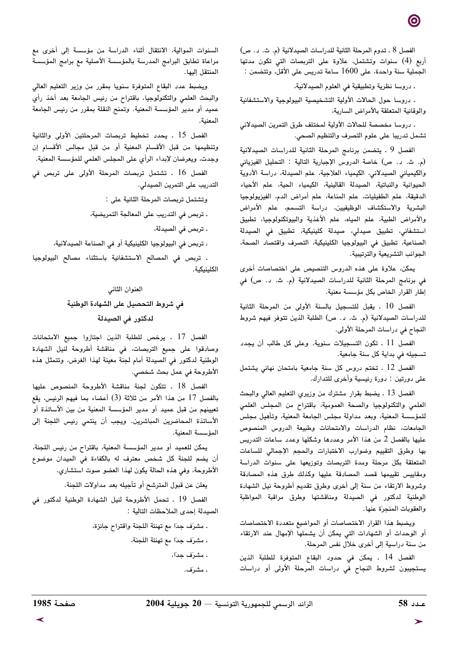الفصل 8 . تدوم المرحلة الثانية للدراسات الصيدلانية (م. ث. د. ص) أربع (4) سنوات وتشتمل، علاوة على التربصات التى تكون مدتها الجملية سنة واحدة، على 1600 ساعة تدريس على الأقل، وتتضمن :

ـ دروسا نظرية وتطبيقية في العلوم الصيدلانية،

. دروسا حول الحالات الأولية التشخيصية البيولوجية والاستشفائية والوقائية المتعلقة بالأمراض السارية،

. دروسا مخصصة للحالات الأولية لمختلف طرق التمرين الصيدلاني تشمل تدريبا على علوم التصرف والتنظيم الصحي.

الفصل 9 . يتضمن برنامج المرحلة الثانية للدراسات الصيدلانية (م. ث. د. ص) خاصة الدروس الإجبارية التالية : التحليل الفيزيائي والكيميائي الصيدلاني، الكيمياء العلاجية، علم الصيدلة، دراسة الأدوية الحيوانية والنباتية، الصيدلة القالينية، الكيمياء الحية، علم الأحياء الدقيقة، علم الطفيليات، علم المناعة، علم أمراض الدم، الفيزيولوجيا البشرية والاستكشاف الوظيفيين، دراسة التسمم، علم الأمراض والأمراض الطبية، علم المياه، علم الأغذية والبيوتكنولوجيا، تطبيق استشفائى، تطبيق صيدلى، صيدلة كلينيكية، تطبيق في الصيدلة الصناعية، تطبيق في البيولوجيا الكلينيكية، التصرف واقتصاد الصحة، الجوانب التشريعية والترتيبية.

يمكن، علاوة على هذه الدروس التنصيص على اختصاصات أخرى في برنامج المرحلة الثانية للدراسات الصيدلانية (م. ث. د. ص) في إطار القرار الخاص بكل مؤسسة معنية.

الفصل 10 . يقبل للتسجيل بالسنة الأولى من المرحلة الثانية للدراسات الصيدلانية (م. ث. د. ص) الطلبة الذين تتوفر فيهم شروط النجاح في دراسات المرحلة الأولى.

الفصل 11 . تكون التسجيلات سنوية. وعلى كل طالب أن يجدد تسجيله في بداية كل سنة جامعية.

الفصل 12 . تختم دروس كل سنة جامعية بامتحان نهائي يشتمل على دورتين : دورة رئيسية وأخرى للتدارك.

الفصل 13 . يضبط بقرار مشترك من وزيرى التعليم العالي والبحث العلمي والتكنولوجيا والصحة العمومية، باقتراح من المجلس العلمي للمؤسسة المعنية، وبعد مداولة مجلس الجامعة المعنية، وتأهيل مجلس الجامعات، نظام الدراسات والامتحانات وطبيعة الدروس المنصوص عليها بالفصل 2 من هذا الأمر وعددها وشكلها وعدد ساعات التدريس بها وطرق التقييم وضوارب الاختبارات والحجم الإجمالى للساعات المتعلقة بكل مرحلة ومدة التربصات وتوزيعها على سنوات الدراسة ومقاييس تقييمها قصد المصادقة عليها وكذلك طرق هذه المصادقة وشروط الارتقاء من سنة إلى أخرى وطرق تقديم أطروحة نيل الشهادة الوطنية لدكتور فى الصيدلة ومناقشتها وطرق مراقبة المواظبة والعقوبات المنجرّة عنها.

ويضبط هذا القرار الاختصاصات أو المواضيع متعددة الاختصاصات أو الوحدات أو الشهادات التي يمكن أن يشملها الإمهال عند الارتقاء من سنة دراسية إلى أخرى خلال نفس المرحلة.

الفصل 14 . يمكن في حدود البقاع المتوفرة للطلبة الذين يستجيبون لشروط النجاح فى دراسات المرحلة الأولى أو دراسات

السنوات الموالية، الانتقال أثناء الدراسة من مؤسسة إلى أخرى مع مراعاة تطابق البرامج المدرسة بالمؤسسة الأصلية مع برامج المؤسسة المنتقل إليها.

ويضبط عدد البقاع المتوفرة سنويا بمقرر من وزير التعليم العالي والبحث العلمي والتكنولوجيا، باقتراح من رئيس الجامعة بعد أخذ رأى عميد أو مدير المؤسسة المعنية. وتمنح النقلة بمقرر من رئيس الجامعة المعنية.

الفصل 15 . يحدد تخطيط تربصات المرحلتين الأولى والثانية وتنظيمها من قبل الأقسام المعنية أو من قبل مجالس الأقسام إن وجدت، ويعرضان لإبداء الرأي على المجلس العلمي للمؤسسة المعنية.

الفصل 16 . تشتمل تربصات المرحلة الأولى على تربص فى التدريب على التمرين الصيدلي.

وتشتمل تربصات المرحلة الثانية على :

. تربص في التدريب على المعالجة التمريضية،

. تربص في الصيدلة،

. تربص في البيولوجيا الكلينيكية أو في الصناعة الصيدلانية،

. تربص في المصالح الاستشفائية باستثناء مصالح البيولوجيا الكلينيكية.

#### العنوان الثاني

# في شروط التحصيل على الشهادة الوطنية لدكتور في الصيدلة

الفصل 17 . يرخص للطلبة الذين اجتازوا جميع الامتحانات وصادقوا على جميع التربصات، في مناقشة أطروحة لنيل الشهادة الوطنية لدكتور في الصيدلة أمام لجنة معينة لهذا الغرض، وتتمثل هذه الأطروحة في عمل بحث شخصي.

الفصل 18 . تتكون لجنة مناقشة الأطروحة المنصوص عليها بالفصل 17 من هذا الأمر من ثلاثة (3) أعضاء بما فيهم الرئيس، يقع تعيينهم من قبل عميد أو مدير المؤسسة المعنية من بين الأساتذة أو الأساتذة المحاضرين المباشرين. ويجب أن ينتمي رئيس اللجنة إلى المؤسسة المعنية.

يمكن للعميد أو مدير المؤسسة المعنية، باقتراح من رئيس اللجنة، أن يضم للجنة كل شخص معترف له بالكفاءة في الميدان موضوع الأطروحة، وفي هذه الحالة يكون لهذا العضو صوت استشاري.

يعلن عن قبول المترشح أو تأجيله بعد مداولات اللجنة.

الفصل 19 . تحمل الأطروحة لنيل الشهادة الوطنية لدكتور في الصيدلة إحدى الملاحظات التالية :

> . مشرَف جدًا مع تهنئة اللجنة واقتراح جائزة، ـ مشرَف جدّا مع تهنئة اللجنة، . مشرِّف جداً،

> > . مشرَف.